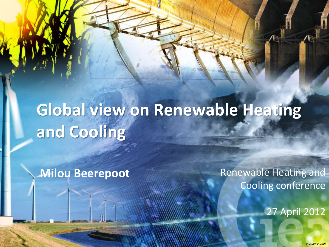# **Global view on Renewable Heating and Cooling**

**Milou Beerepoot**

Renewable Heating and Cooling conference

27 April 2012

© OECD/IEA 2010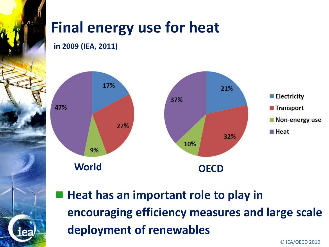## **Final energy use for heat**

**in 2009 (IEA, 2011)**



 **Heat has an important role to play in encouraging efficiency measures and large scale deployment of renewables**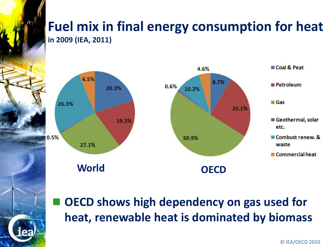#### **Fuel mix in final energy consumption for heat in 2009 (IEA, 2011)**



 **OECD shows high dependency on gas used for heat, renewable heat is dominated by biomass**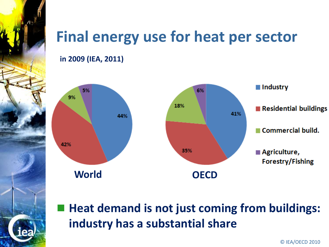

**in 2009 (IEA, 2011)**



 **Heat demand is not just coming from buildings: industry has a substantial share**

**CONSTRUCTION CONSTRUCTED AND LOCAL CONSTRUCTION CONSTRUCTED AND LOCAL CONSTRUCTION** CONSTRUCTED **CONSTRUCTED**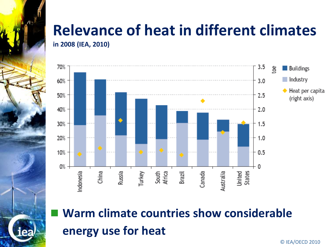# **Relevance of heat in different climates**







**CONSTRUCTION CONSTRUCTED AND LOCAL CONSTRUCTION CONSTRUCTED AND LOCAL CONSTRUCTION** CONSTRUCTED **CONSTRUCTED**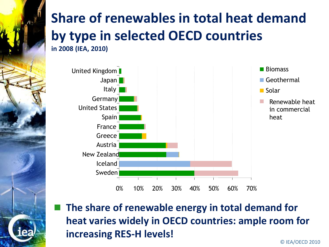### **Share of renewables in total heat demand by type in selected OECD countries in 2008 (IEA, 2010)**



 **The share of renewable energy in total demand for heat varies widely in OECD countries: ample room for increasing RES-H levels!**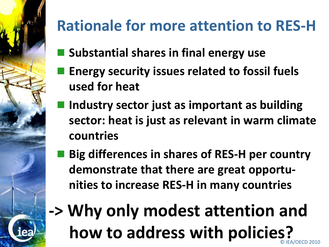

## **Rationale for more attention to RES-H**

- **Substantial shares in final energy use**
- **Energy security issues related to fossil fuels used for heat**
- **Industry sector just as important as building sector: heat is just as relevant in warm climate countries**
- **Big differences in shares of RES-H per country demonstrate that there are great opportunities to increase RES-H in many countries**
- **CONSTRUCTION CONSTRUCTED AND LOCAL CONSTRUCTION CONSTRUCTED AND LOCAL CONSTRUCTION** CONSTRUCTED **CONSTRUCTED -> Why only modest attention and how to address with policies?**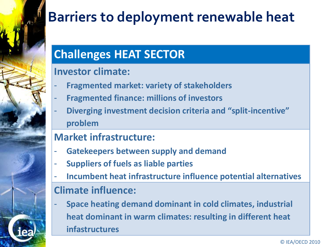

## **Barriers to deployment renewable heat**

### **Challenges HEAT SECTOR**

#### **Investor climate:**

- **Fragmented market: variety of stakeholders**
- **Fragmented finance: millions of investors**
- **Diverging investment decision criteria and "split-incentive" problem**

#### **Market infrastructure:**

- **Gatekeepers between supply and demand**
- **Suppliers of fuels as liable parties**
- **Incumbent heat infrastructure influence potential alternatives**

#### **Climate influence:** - **Space heating demand dominant in cold climates, industrial heat dominant in warm climates: resulting in different heat**

**infastructures**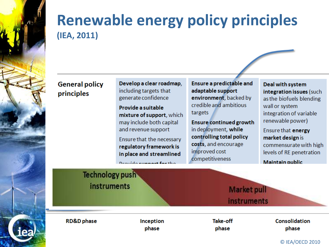

### **Renewable energy policy principles (IEA, 2011)**

#### **General policy** principles

Develop a clear roadmap. including targets that generate confidence

Provide a suitable mixture of support, which may include both capital and revenue support

Ensure that the necessary regulatory framework is in place and streamlined

Drovido cunnant fartho

**Ensure a predictable and** adaptable support environment, backed by credible and ambitious targets

**Ensure continued growth** in deployment, while controlling total policy costs, and encourage improved cost competitiveness

**Deal with system** integration issues (such as the biofuels blending wall or system integration of variable renewable power)

Ensure that energy market design is commensurate with high levels of RE penetration Maintain public

**Technology push** instruments **Market pull** instruments **RD&D** phase **Take-off Consolidation** Inception phase phase phase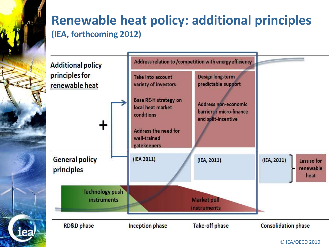### **Renewable heat policy: additional principles (IEA, forthcoming 2012)**

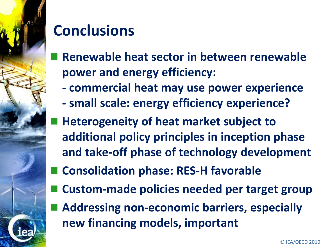

## **Conclusions**

- **Renewable heat sector in between renewable power and energy efficiency:**
	- **- commercial heat may use power experience**
	- **- small scale: energy efficiency experience?**
- **Heterogeneity of heat market subject to additional policy principles in inception phase and take-off phase of technology development**
- **Consolidation phase: RES-H favorable**
- **Custom-made policies needed per target group**
- **Addressing non-economic barriers, especially new financing models, important**